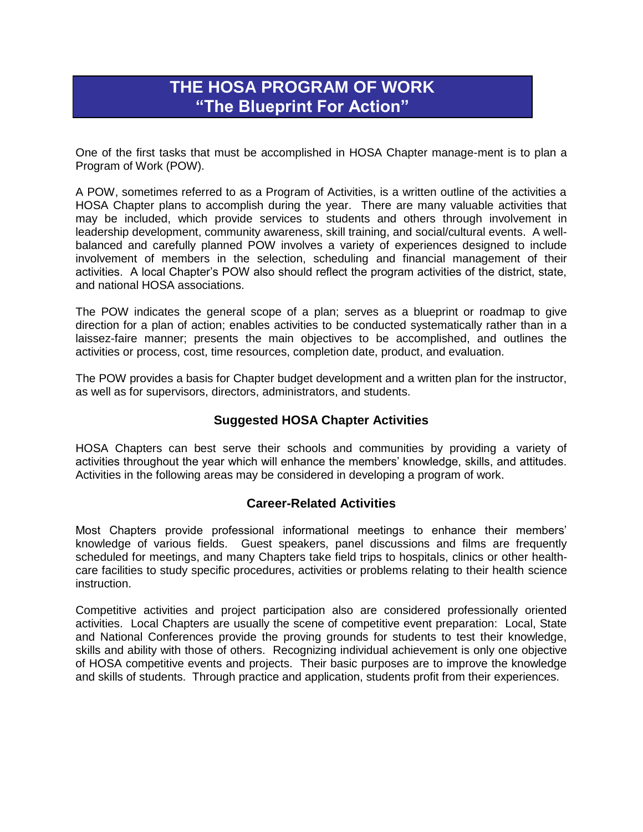## **THE HOSA PROGRAM OF WORK "The Blueprint For Action"**

One of the first tasks that must be accomplished in HOSA Chapter manage-ment is to plan a Program of Work (POW).

A POW, sometimes referred to as a Program of Activities, is a written outline of the activities a HOSA Chapter plans to accomplish during the year. There are many valuable activities that may be included, which provide services to students and others through involvement in leadership development, community awareness, skill training, and social/cultural events. A wellbalanced and carefully planned POW involves a variety of experiences designed to include involvement of members in the selection, scheduling and financial management of their activities. A local Chapter's POW also should reflect the program activities of the district, state, and national HOSA associations.

The POW indicates the general scope of a plan; serves as a blueprint or roadmap to give direction for a plan of action; enables activities to be conducted systematically rather than in a laissez-faire manner; presents the main objectives to be accomplished, and outlines the activities or process, cost, time resources, completion date, product, and evaluation.

The POW provides a basis for Chapter budget development and a written plan for the instructor, as well as for supervisors, directors, administrators, and students.

### **Suggested HOSA Chapter Activities**

HOSA Chapters can best serve their schools and communities by providing a variety of activities throughout the year which will enhance the members' knowledge, skills, and attitudes. Activities in the following areas may be considered in developing a program of work.

#### **Career-Related Activities**

Most Chapters provide professional informational meetings to enhance their members' knowledge of various fields. Guest speakers, panel discussions and films are frequently scheduled for meetings, and many Chapters take field trips to hospitals, clinics or other healthcare facilities to study specific procedures, activities or problems relating to their health science instruction.

Competitive activities and project participation also are considered professionally oriented activities. Local Chapters are usually the scene of competitive event preparation: Local, State and National Conferences provide the proving grounds for students to test their knowledge, skills and ability with those of others. Recognizing individual achievement is only one objective of HOSA competitive events and projects. Their basic purposes are to improve the knowledge and skills of students. Through practice and application, students profit from their experiences.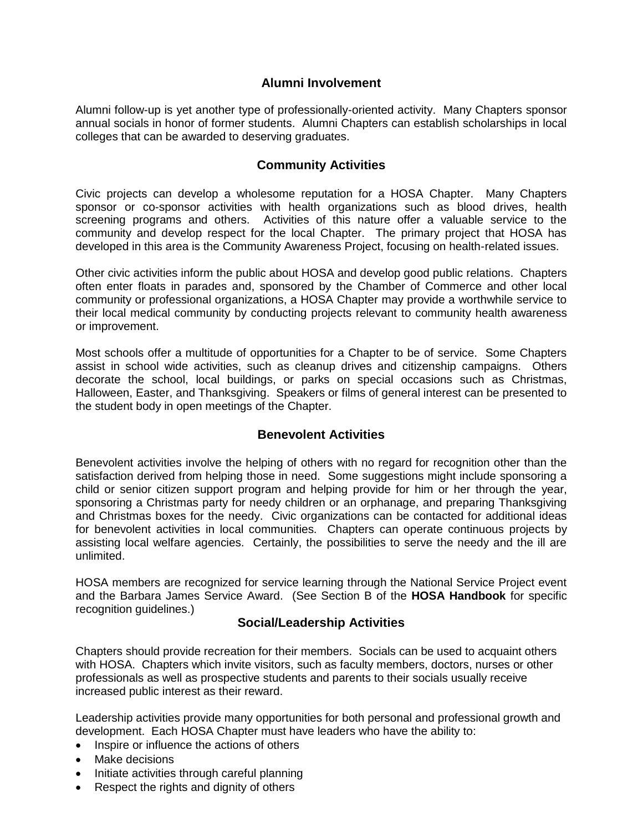### **Alumni Involvement**

Alumni follow-up is yet another type of professionally-oriented activity. Many Chapters sponsor annual socials in honor of former students. Alumni Chapters can establish scholarships in local colleges that can be awarded to deserving graduates.

### **Community Activities**

Civic projects can develop a wholesome reputation for a HOSA Chapter. Many Chapters sponsor or co-sponsor activities with health organizations such as blood drives, health screening programs and others. Activities of this nature offer a valuable service to the community and develop respect for the local Chapter. The primary project that HOSA has developed in this area is the Community Awareness Project, focusing on health-related issues.

Other civic activities inform the public about HOSA and develop good public relations. Chapters often enter floats in parades and, sponsored by the Chamber of Commerce and other local community or professional organizations, a HOSA Chapter may provide a worthwhile service to their local medical community by conducting projects relevant to community health awareness or improvement.

Most schools offer a multitude of opportunities for a Chapter to be of service. Some Chapters assist in school wide activities, such as cleanup drives and citizenship campaigns. Others decorate the school, local buildings, or parks on special occasions such as Christmas, Halloween, Easter, and Thanksgiving. Speakers or films of general interest can be presented to the student body in open meetings of the Chapter.

#### **Benevolent Activities**

Benevolent activities involve the helping of others with no regard for recognition other than the satisfaction derived from helping those in need. Some suggestions might include sponsoring a child or senior citizen support program and helping provide for him or her through the year, sponsoring a Christmas party for needy children or an orphanage, and preparing Thanksgiving and Christmas boxes for the needy. Civic organizations can be contacted for additional ideas for benevolent activities in local communities. Chapters can operate continuous projects by assisting local welfare agencies. Certainly, the possibilities to serve the needy and the ill are unlimited.

HOSA members are recognized for service learning through the National Service Project event and the Barbara James Service Award. (See Section B of the **HOSA Handbook** for specific recognition guidelines.)

### **Social/Leadership Activities**

Chapters should provide recreation for their members. Socials can be used to acquaint others with HOSA. Chapters which invite visitors, such as faculty members, doctors, nurses or other professionals as well as prospective students and parents to their socials usually receive increased public interest as their reward.

Leadership activities provide many opportunities for both personal and professional growth and development. Each HOSA Chapter must have leaders who have the ability to:

- Inspire or influence the actions of others
- Make decisions
- Initiate activities through careful planning
- Respect the rights and dignity of others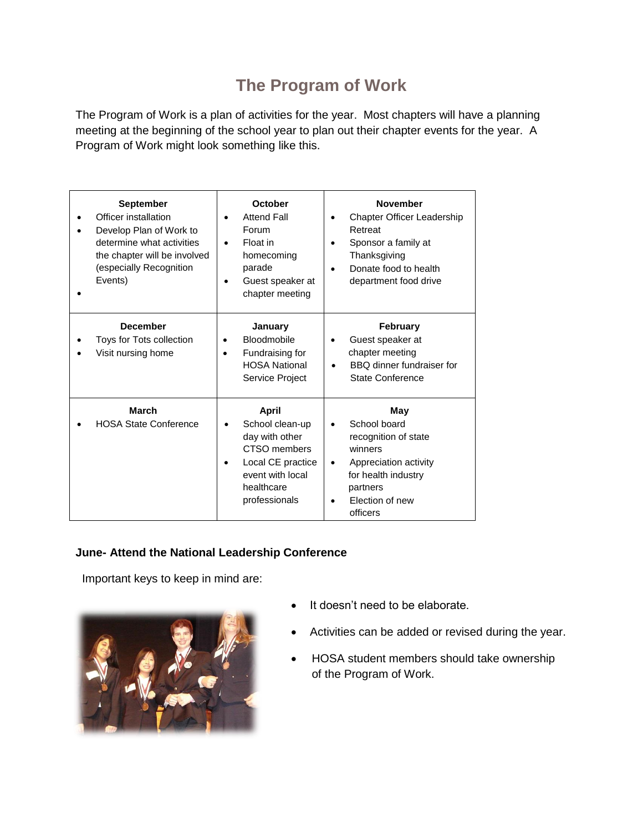# **The Program of Work**

The Program of Work is a plan of activities for the year. Most chapters will have a planning meeting at the beginning of the school year to plan out their chapter events for the year. A Program of Work might look something like this.

| <b>September</b><br>Officer installation<br>Develop Plan of Work to<br>determine what activities<br>the chapter will be involved<br>(especially Recognition<br>Events) | October<br><b>Attend Fall</b><br>Forum<br>Float in<br>homecoming<br>parade<br>Guest speaker at<br>٠<br>chapter meeting                    | <b>November</b><br>Chapter Officer Leadership<br>٠<br>Retreat<br>Sponsor a family at<br>$\bullet$<br>Thanksgiving<br>Donate food to health<br>$\bullet$<br>department food drive         |
|------------------------------------------------------------------------------------------------------------------------------------------------------------------------|-------------------------------------------------------------------------------------------------------------------------------------------|------------------------------------------------------------------------------------------------------------------------------------------------------------------------------------------|
| <b>December</b><br>Toys for Tots collection<br>Visit nursing home                                                                                                      | January<br><b>Bloodmobile</b><br>Fundraising for<br><b>HOSA National</b><br>Service Project                                               | February<br>Guest speaker at<br>$\bullet$<br>chapter meeting<br>BBQ dinner fundraiser for<br>$\bullet$<br><b>State Conference</b>                                                        |
| <b>March</b><br><b>HOSA State Conference</b>                                                                                                                           | <b>April</b><br>School clean-up<br>day with other<br>CTSO members<br>Local CE practice<br>event with local<br>healthcare<br>professionals | May<br>School board<br>$\bullet$<br>recognition of state<br>winners<br>Appreciation activity<br>$\bullet$<br>for health industry<br>partners<br>Election of new<br>$\bullet$<br>officers |

## **June- Attend the National Leadership Conference**

Important keys to keep in mind are:



- It doesn't need to be elaborate.
- Activities can be added or revised during the year.
- HOSA student members should take ownership of the Program of Work.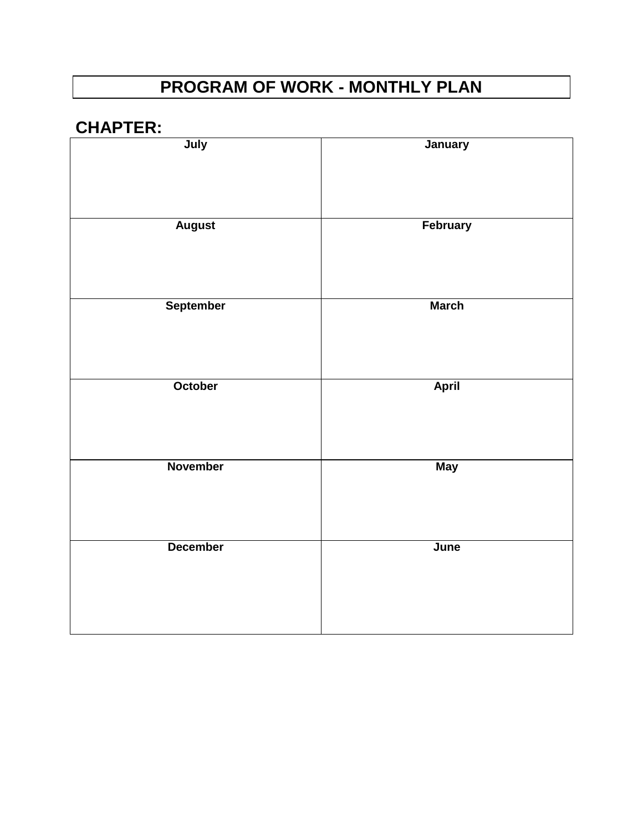# **PROGRAM OF WORK - MONTHLY PLAN**

# **CHAPTER:**

| July             | January      |
|------------------|--------------|
| <b>August</b>    | February     |
| <b>September</b> | <b>March</b> |
| October          | April        |
| <b>November</b>  | <b>May</b>   |
| <b>December</b>  | June         |